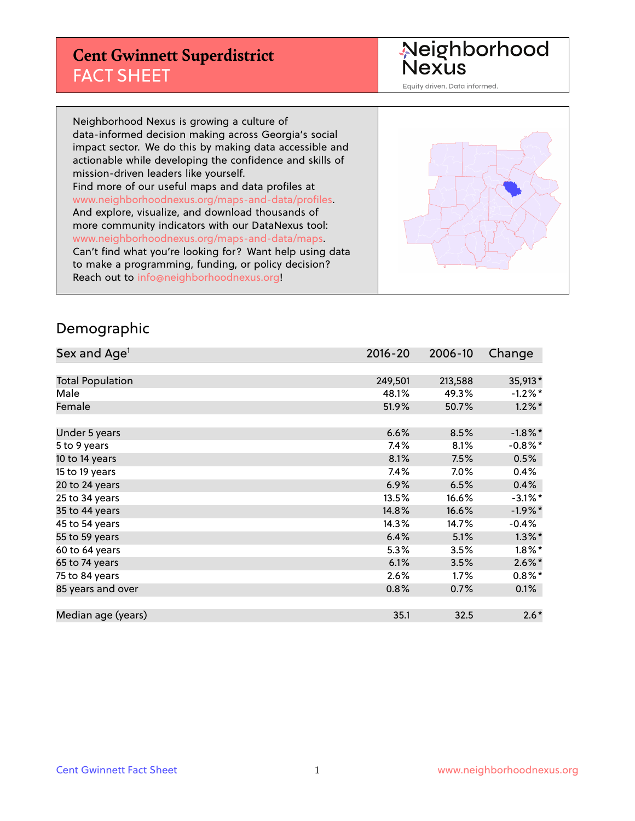#### **Cent Gwinnett Superdistrict** FACT SHEET

Neighborhood<br>Nexus

Equity driven. Data informed.

Neighborhood Nexus is growing a culture of data-informed decision making across Georgia's social impact sector. We do this by making data accessible and actionable while developing the confidence and skills of mission-driven leaders like yourself. Find more of our useful maps and data profiles at www.neighborhoodnexus.org/maps-and-data/profiles. And explore, visualize, and download thousands of more community indicators with our DataNexus tool: www.neighborhoodnexus.org/maps-and-data/maps. Can't find what you're looking for? Want help using data to make a programming, funding, or policy decision? Reach out to [info@neighborhoodnexus.org!](mailto:info@neighborhoodnexus.org)



#### Demographic

| Sex and Age <sup>1</sup> | $2016 - 20$ | 2006-10 | Change     |
|--------------------------|-------------|---------|------------|
|                          |             |         |            |
| <b>Total Population</b>  | 249,501     | 213,588 | 35,913*    |
| Male                     | 48.1%       | 49.3%   | $-1.2\%$ * |
| Female                   | 51.9%       | 50.7%   | $1.2\%$ *  |
|                          |             |         |            |
| Under 5 years            | 6.6%        | 8.5%    | $-1.8\%$ * |
| 5 to 9 years             | 7.4%        | 8.1%    | $-0.8\%$ * |
| 10 to 14 years           | 8.1%        | 7.5%    | 0.5%       |
| 15 to 19 years           | 7.4%        | $7.0\%$ | 0.4%       |
| 20 to 24 years           | 6.9%        | 6.5%    | 0.4%       |
| 25 to 34 years           | 13.5%       | 16.6%   | $-3.1\%$ * |
| 35 to 44 years           | 14.8%       | 16.6%   | $-1.9%$ *  |
| 45 to 54 years           | 14.3%       | 14.7%   | $-0.4%$    |
| 55 to 59 years           | 6.4%        | 5.1%    | $1.3\%$ *  |
| 60 to 64 years           | 5.3%        | 3.5%    | $1.8\%$ *  |
| 65 to 74 years           | 6.1%        | 3.5%    | $2.6\%$ *  |
| 75 to 84 years           | 2.6%        | $1.7\%$ | $0.8\%$ *  |
| 85 years and over        | 0.8%        | 0.7%    | $0.1\%$    |
|                          |             |         |            |
| Median age (years)       | 35.1        | 32.5    | $2.6*$     |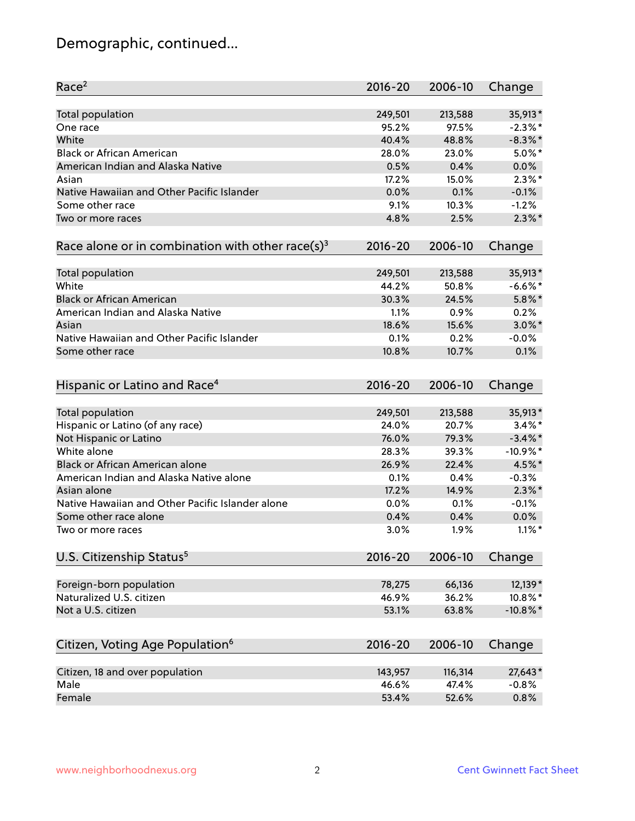# Demographic, continued...

| Race <sup>2</sup>                                            | $2016 - 20$ | 2006-10 | Change      |
|--------------------------------------------------------------|-------------|---------|-------------|
| <b>Total population</b>                                      | 249,501     | 213,588 | 35,913*     |
| One race                                                     | 95.2%       | 97.5%   | $-2.3\%$ *  |
| White                                                        | 40.4%       | 48.8%   | $-8.3\%$ *  |
| <b>Black or African American</b>                             | 28.0%       | 23.0%   | $5.0\%$ *   |
| American Indian and Alaska Native                            | 0.5%        | 0.4%    | 0.0%        |
| Asian                                                        | 17.2%       | 15.0%   | $2.3\%$ *   |
| Native Hawaiian and Other Pacific Islander                   | 0.0%        | 0.1%    | $-0.1%$     |
| Some other race                                              | 9.1%        | 10.3%   | $-1.2%$     |
| Two or more races                                            | 4.8%        | 2.5%    | $2.3\%$ *   |
| Race alone or in combination with other race(s) <sup>3</sup> | $2016 - 20$ | 2006-10 | Change      |
| Total population                                             | 249,501     | 213,588 | 35,913*     |
| White                                                        | 44.2%       | 50.8%   | $-6.6%$ *   |
| <b>Black or African American</b>                             | 30.3%       | 24.5%   | $5.8\%$ *   |
| American Indian and Alaska Native                            | 1.1%        | 0.9%    | 0.2%        |
| Asian                                                        | 18.6%       | 15.6%   | $3.0\%$ *   |
| Native Hawaiian and Other Pacific Islander                   | 0.1%        | 0.2%    | $-0.0%$     |
| Some other race                                              | 10.8%       |         | 0.1%        |
|                                                              |             | 10.7%   |             |
| Hispanic or Latino and Race <sup>4</sup>                     | $2016 - 20$ | 2006-10 | Change      |
| Total population                                             | 249,501     | 213,588 | 35,913*     |
| Hispanic or Latino (of any race)                             | 24.0%       | 20.7%   | $3.4\%$ *   |
| Not Hispanic or Latino                                       | 76.0%       | 79.3%   | $-3.4\%$ *  |
| White alone                                                  | 28.3%       | 39.3%   | $-10.9%$ *  |
| Black or African American alone                              | 26.9%       | 22.4%   | 4.5%*       |
| American Indian and Alaska Native alone                      | 0.1%        | 0.4%    | $-0.3%$     |
| Asian alone                                                  | 17.2%       | 14.9%   | $2.3\%$ *   |
| Native Hawaiian and Other Pacific Islander alone             | 0.0%        | 0.1%    | $-0.1%$     |
| Some other race alone                                        | 0.4%        | 0.4%    | 0.0%        |
| Two or more races                                            | 3.0%        | 1.9%    | $1.1\%$ *   |
| U.S. Citizenship Status <sup>5</sup>                         | 2016-20     | 2006-10 | Change      |
|                                                              |             |         |             |
| Foreign-born population                                      | 78,275      | 66,136  | 12,139*     |
| Naturalized U.S. citizen                                     | 46.9%       | 36.2%   | 10.8%*      |
| Not a U.S. citizen                                           | 53.1%       | 63.8%   | $-10.8\%$ * |
| Citizen, Voting Age Population <sup>6</sup>                  | $2016 - 20$ | 2006-10 | Change      |
| Citizen, 18 and over population                              | 143,957     | 116,314 | 27,643*     |
| Male                                                         | 46.6%       | 47.4%   | $-0.8%$     |
| Female                                                       | 53.4%       | 52.6%   | 0.8%        |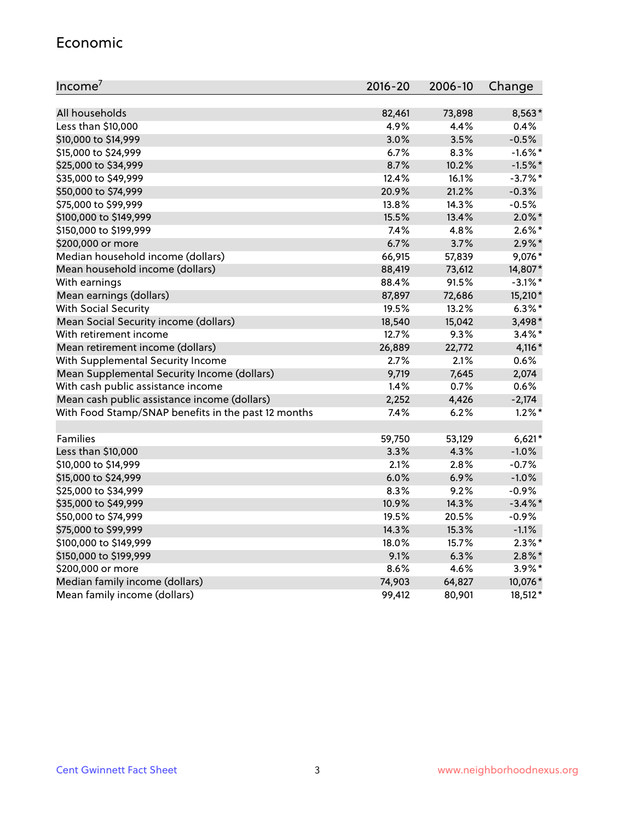#### Economic

| Income <sup>7</sup>                                 | $2016 - 20$ | 2006-10 | Change     |
|-----------------------------------------------------|-------------|---------|------------|
|                                                     |             |         |            |
| All households                                      | 82,461      | 73,898  | 8,563*     |
| Less than \$10,000                                  | 4.9%        | 4.4%    | 0.4%       |
| \$10,000 to \$14,999                                | 3.0%        | 3.5%    | $-0.5%$    |
| \$15,000 to \$24,999                                | 6.7%        | 8.3%    | $-1.6\%$ * |
| \$25,000 to \$34,999                                | 8.7%        | 10.2%   | $-1.5%$ *  |
| \$35,000 to \$49,999                                | 12.4%       | 16.1%   | $-3.7%$ *  |
| \$50,000 to \$74,999                                | 20.9%       | 21.2%   | $-0.3%$    |
| \$75,000 to \$99,999                                | 13.8%       | 14.3%   | $-0.5%$    |
| \$100,000 to \$149,999                              | 15.5%       | 13.4%   | $2.0\%$ *  |
| \$150,000 to \$199,999                              | 7.4%        | 4.8%    | $2.6\%$ *  |
| \$200,000 or more                                   | 6.7%        | 3.7%    | $2.9\%$ *  |
| Median household income (dollars)                   | 66,915      | 57,839  | 9,076*     |
| Mean household income (dollars)                     | 88,419      | 73,612  | 14,807*    |
| With earnings                                       | 88.4%       | 91.5%   | $-3.1\%$ * |
| Mean earnings (dollars)                             | 87,897      | 72,686  | 15,210*    |
| <b>With Social Security</b>                         | 19.5%       | 13.2%   | $6.3\%$ *  |
| Mean Social Security income (dollars)               | 18,540      | 15,042  | 3,498*     |
| With retirement income                              | 12.7%       | 9.3%    | $3.4\%$ *  |
| Mean retirement income (dollars)                    | 26,889      | 22,772  | $4,116*$   |
| With Supplemental Security Income                   | 2.7%        | $2.1\%$ | 0.6%       |
| Mean Supplemental Security Income (dollars)         | 9,719       | 7,645   | 2,074      |
| With cash public assistance income                  | 1.4%        | 0.7%    | 0.6%       |
| Mean cash public assistance income (dollars)        | 2,252       | 4,426   | $-2,174$   |
| With Food Stamp/SNAP benefits in the past 12 months | 7.4%        | 6.2%    | $1.2\%$ *  |
|                                                     |             |         |            |
| Families                                            | 59,750      | 53,129  | $6,621*$   |
| Less than \$10,000                                  | $3.3\%$     | 4.3%    | $-1.0%$    |
| \$10,000 to \$14,999                                | 2.1%        | 2.8%    | $-0.7%$    |
| \$15,000 to \$24,999                                | 6.0%        | 6.9%    | $-1.0%$    |
| \$25,000 to \$34,999                                | 8.3%        | 9.2%    | $-0.9%$    |
| \$35,000 to \$49,999                                | 10.9%       | 14.3%   | $-3.4\%$ * |
| \$50,000 to \$74,999                                | 19.5%       | 20.5%   | $-0.9%$    |
| \$75,000 to \$99,999                                | 14.3%       | 15.3%   | $-1.1%$    |
| \$100,000 to \$149,999                              | 18.0%       | 15.7%   | $2.3\%$ *  |
| \$150,000 to \$199,999                              | 9.1%        | 6.3%    | $2.8\%$ *  |
| \$200,000 or more                                   | 8.6%        | 4.6%    | $3.9\%$ *  |
| Median family income (dollars)                      | 74,903      | 64,827  | 10,076*    |
| Mean family income (dollars)                        | 99,412      | 80,901  | 18,512*    |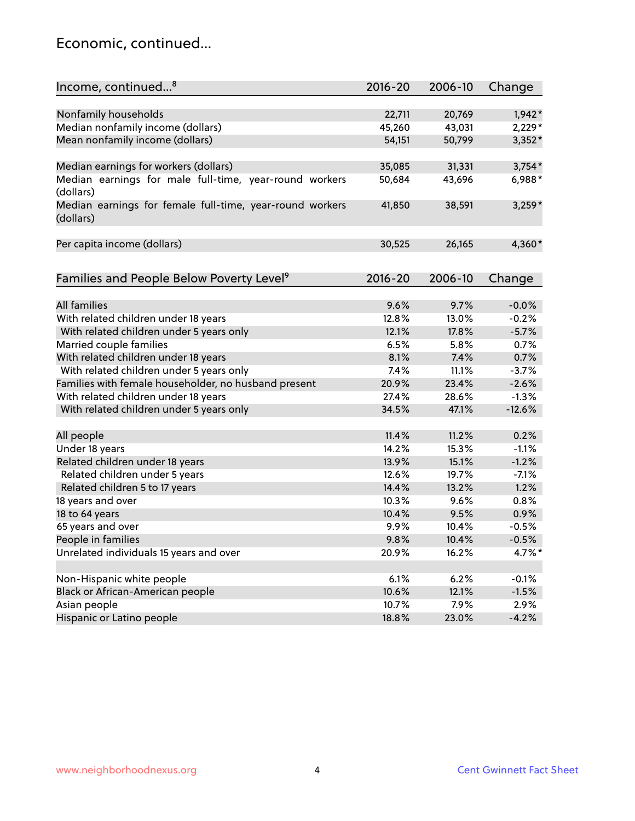#### Economic, continued...

| Income, continued <sup>8</sup>                                        | $2016 - 20$ | 2006-10 | Change   |
|-----------------------------------------------------------------------|-------------|---------|----------|
|                                                                       |             |         |          |
| Nonfamily households                                                  | 22,711      | 20,769  | $1,942*$ |
| Median nonfamily income (dollars)                                     | 45,260      | 43,031  | $2,229*$ |
| Mean nonfamily income (dollars)                                       | 54,151      | 50,799  | 3,352*   |
| Median earnings for workers (dollars)                                 | 35,085      | 31,331  | $3,754*$ |
| Median earnings for male full-time, year-round workers                | 50,684      | 43,696  | 6,988*   |
| (dollars)                                                             |             |         |          |
| Median earnings for female full-time, year-round workers<br>(dollars) | 41,850      | 38,591  | $3,259*$ |
| Per capita income (dollars)                                           | 30,525      | 26,165  | 4,360*   |
|                                                                       |             |         |          |
| Families and People Below Poverty Level <sup>9</sup>                  | $2016 - 20$ | 2006-10 | Change   |
|                                                                       |             |         |          |
| <b>All families</b>                                                   | 9.6%        | 9.7%    | $-0.0%$  |
| With related children under 18 years                                  | 12.8%       | 13.0%   | $-0.2%$  |
| With related children under 5 years only                              | 12.1%       | 17.8%   | $-5.7%$  |
| Married couple families                                               | 6.5%        | 5.8%    | 0.7%     |
| With related children under 18 years                                  | 8.1%        | 7.4%    | 0.7%     |
| With related children under 5 years only                              | 7.4%        | 11.1%   | $-3.7%$  |
| Families with female householder, no husband present                  | 20.9%       | 23.4%   | $-2.6%$  |
| With related children under 18 years                                  | 27.4%       | 28.6%   | $-1.3%$  |
| With related children under 5 years only                              | 34.5%       | 47.1%   | $-12.6%$ |
| All people                                                            | 11.4%       | 11.2%   | 0.2%     |
| Under 18 years                                                        | 14.2%       | 15.3%   | $-1.1%$  |
| Related children under 18 years                                       | 13.9%       | 15.1%   | $-1.2%$  |
| Related children under 5 years                                        | 12.6%       | 19.7%   | $-7.1%$  |
| Related children 5 to 17 years                                        | 14.4%       | 13.2%   | 1.2%     |
| 18 years and over                                                     | 10.3%       | 9.6%    | 0.8%     |
| 18 to 64 years                                                        | 10.4%       | 9.5%    | 0.9%     |
| 65 years and over                                                     | 9.9%        | 10.4%   | $-0.5%$  |
| People in families                                                    | 9.8%        | 10.4%   | $-0.5%$  |
| Unrelated individuals 15 years and over                               | 20.9%       | 16.2%   | 4.7%*    |
|                                                                       |             |         |          |
| Non-Hispanic white people                                             | 6.1%        | 6.2%    | $-0.1%$  |
| Black or African-American people                                      | 10.6%       | 12.1%   | $-1.5%$  |
| Asian people                                                          | 10.7%       | 7.9%    | 2.9%     |
| Hispanic or Latino people                                             | 18.8%       | 23.0%   | $-4.2%$  |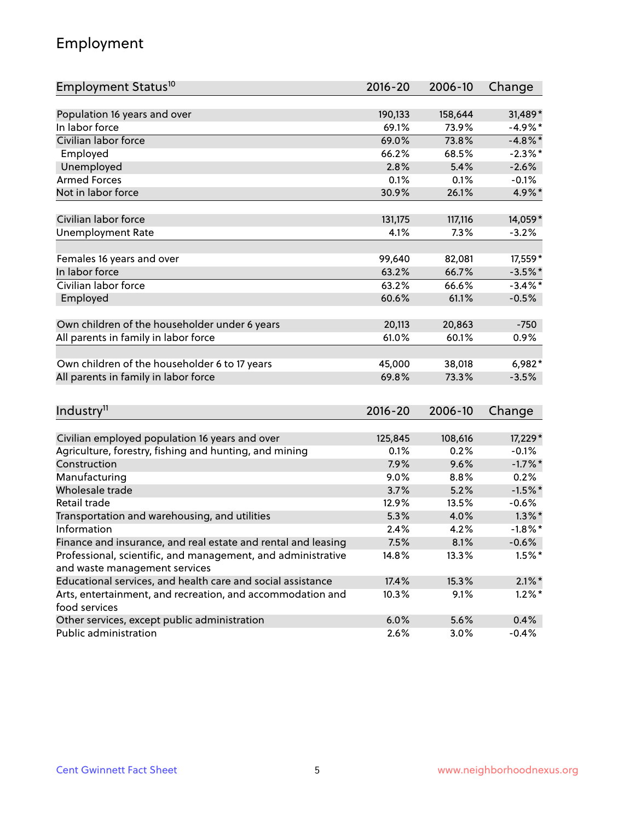# Employment

| Employment Status <sup>10</sup>                                                               | $2016 - 20$ | 2006-10 | Change     |
|-----------------------------------------------------------------------------------------------|-------------|---------|------------|
|                                                                                               |             |         |            |
| Population 16 years and over                                                                  | 190,133     | 158,644 | 31,489*    |
| In labor force                                                                                | 69.1%       | 73.9%   | $-4.9%$ *  |
| Civilian labor force                                                                          | 69.0%       | 73.8%   | $-4.8\%$ * |
| Employed                                                                                      | 66.2%       | 68.5%   | $-2.3\%$ * |
| Unemployed                                                                                    | 2.8%        | 5.4%    | $-2.6%$    |
| <b>Armed Forces</b>                                                                           | 0.1%        | 0.1%    | $-0.1%$    |
| Not in labor force                                                                            | 30.9%       | 26.1%   | 4.9%*      |
| Civilian labor force                                                                          | 131,175     | 117,116 | 14,059*    |
| <b>Unemployment Rate</b>                                                                      | 4.1%        | 7.3%    | $-3.2%$    |
|                                                                                               |             |         |            |
| Females 16 years and over                                                                     | 99,640      | 82,081  | 17,559*    |
| In labor force                                                                                | 63.2%       | 66.7%   | $-3.5%$ *  |
| Civilian labor force                                                                          | 63.2%       | 66.6%   | $-3.4\%$ * |
| Employed                                                                                      | 60.6%       | 61.1%   | $-0.5%$    |
| Own children of the householder under 6 years                                                 | 20,113      | 20,863  | $-750$     |
|                                                                                               | 61.0%       | 60.1%   | 0.9%       |
| All parents in family in labor force                                                          |             |         |            |
| Own children of the householder 6 to 17 years                                                 | 45,000      | 38,018  | $6,982*$   |
| All parents in family in labor force                                                          | 69.8%       | 73.3%   | $-3.5%$    |
|                                                                                               |             |         |            |
| Industry <sup>11</sup>                                                                        | $2016 - 20$ | 2006-10 | Change     |
|                                                                                               |             |         |            |
| Civilian employed population 16 years and over                                                | 125,845     | 108,616 | 17,229*    |
| Agriculture, forestry, fishing and hunting, and mining                                        | 0.1%        | 0.2%    | $-0.1%$    |
| Construction                                                                                  | 7.9%        | 9.6%    | $-1.7%$ *  |
| Manufacturing                                                                                 | 9.0%        | 8.8%    | 0.2%       |
| Wholesale trade                                                                               | 3.7%        | 5.2%    | $-1.5%$ *  |
| Retail trade                                                                                  | 12.9%       | 13.5%   | $-0.6%$    |
| Transportation and warehousing, and utilities                                                 | 5.3%        | 4.0%    | $1.3\%$ *  |
| Information                                                                                   | 2.4%        | 4.2%    | $-1.8\%$ * |
| Finance and insurance, and real estate and rental and leasing                                 | 7.5%        | 8.1%    | $-0.6%$    |
| Professional, scientific, and management, and administrative<br>and waste management services | 14.8%       | 13.3%   | $1.5\%$ *  |
| Educational services, and health care and social assistance                                   | 17.4%       | 15.3%   | $2.1\%$ *  |
| Arts, entertainment, and recreation, and accommodation and                                    | 10.3%       | 9.1%    | $1.2\%$ *  |
| food services                                                                                 |             |         |            |
| Other services, except public administration                                                  | 6.0%        | 5.6%    | 0.4%       |
| Public administration                                                                         | 2.6%        | 3.0%    | $-0.4%$    |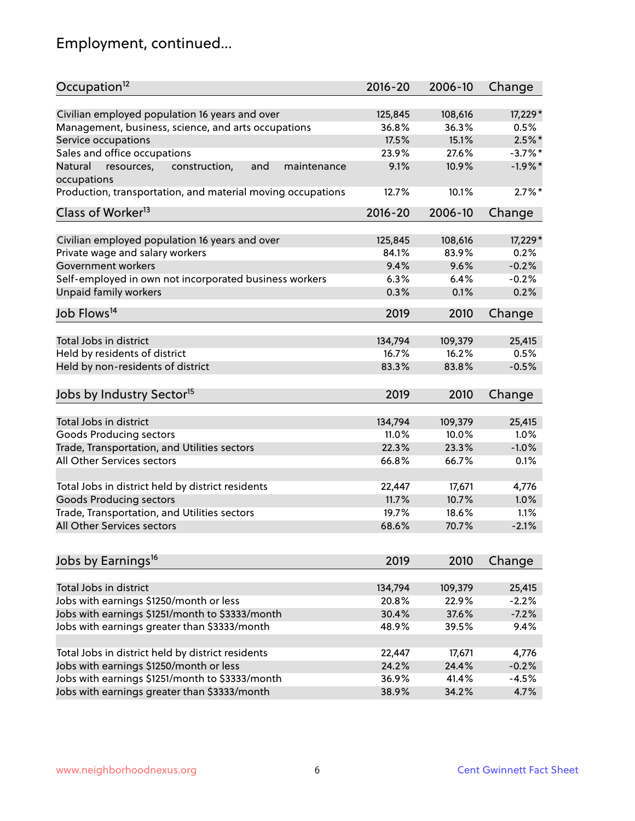# Employment, continued...

| Occupation <sup>12</sup>                                     | $2016 - 20$ | 2006-10 | Change     |
|--------------------------------------------------------------|-------------|---------|------------|
| Civilian employed population 16 years and over               | 125,845     | 108,616 | 17,229 *   |
| Management, business, science, and arts occupations          | 36.8%       | 36.3%   | 0.5%       |
| Service occupations                                          | 17.5%       | 15.1%   | $2.5\%$ *  |
| Sales and office occupations                                 | 23.9%       | 27.6%   | $-3.7\%$ * |
| Natural<br>and<br>resources,<br>construction,<br>maintenance | 9.1%        | 10.9%   | $-1.9%$ *  |
| occupations                                                  |             |         |            |
| Production, transportation, and material moving occupations  | 12.7%       | 10.1%   | $2.7\%$ *  |
| Class of Worker <sup>13</sup>                                | $2016 - 20$ | 2006-10 | Change     |
|                                                              |             |         |            |
| Civilian employed population 16 years and over               | 125,845     | 108,616 | 17,229 *   |
| Private wage and salary workers                              | 84.1%       | 83.9%   | 0.2%       |
| Government workers                                           | 9.4%        | 9.6%    | $-0.2%$    |
| Self-employed in own not incorporated business workers       | 6.3%        | 6.4%    | $-0.2%$    |
| Unpaid family workers                                        | 0.3%        | 0.1%    | 0.2%       |
| Job Flows <sup>14</sup>                                      | 2019        | 2010    | Change     |
|                                                              |             |         |            |
| Total Jobs in district                                       | 134,794     | 109,379 | 25,415     |
| Held by residents of district                                | 16.7%       | 16.2%   | 0.5%       |
| Held by non-residents of district                            | 83.3%       | 83.8%   | $-0.5%$    |
| Jobs by Industry Sector <sup>15</sup>                        | 2019        | 2010    | Change     |
|                                                              |             |         |            |
| Total Jobs in district                                       | 134,794     | 109,379 | 25,415     |
| Goods Producing sectors                                      | 11.0%       | 10.0%   | 1.0%       |
| Trade, Transportation, and Utilities sectors                 | 22.3%       | 23.3%   | $-1.0%$    |
| All Other Services sectors                                   | 66.8%       | 66.7%   | 0.1%       |
| Total Jobs in district held by district residents            | 22,447      | 17,671  | 4,776      |
| <b>Goods Producing sectors</b>                               | 11.7%       | 10.7%   | 1.0%       |
| Trade, Transportation, and Utilities sectors                 | 19.7%       | 18.6%   | 1.1%       |
| All Other Services sectors                                   | 68.6%       | 70.7%   | $-2.1%$    |
|                                                              |             |         |            |
| Jobs by Earnings <sup>16</sup>                               | 2019        | 2010    | Change     |
|                                                              |             |         |            |
| Total Jobs in district                                       | 134,794     | 109,379 | 25,415     |
| Jobs with earnings \$1250/month or less                      | 20.8%       | 22.9%   | $-2.2%$    |
| Jobs with earnings \$1251/month to \$3333/month              | 30.4%       | 37.6%   | $-7.2%$    |
| Jobs with earnings greater than \$3333/month                 | 48.9%       | 39.5%   | 9.4%       |
| Total Jobs in district held by district residents            | 22,447      | 17,671  | 4,776      |
| Jobs with earnings \$1250/month or less                      | 24.2%       | 24.4%   | $-0.2%$    |
| Jobs with earnings \$1251/month to \$3333/month              | 36.9%       | 41.4%   | $-4.5%$    |
| Jobs with earnings greater than \$3333/month                 | 38.9%       | 34.2%   | 4.7%       |
|                                                              |             |         |            |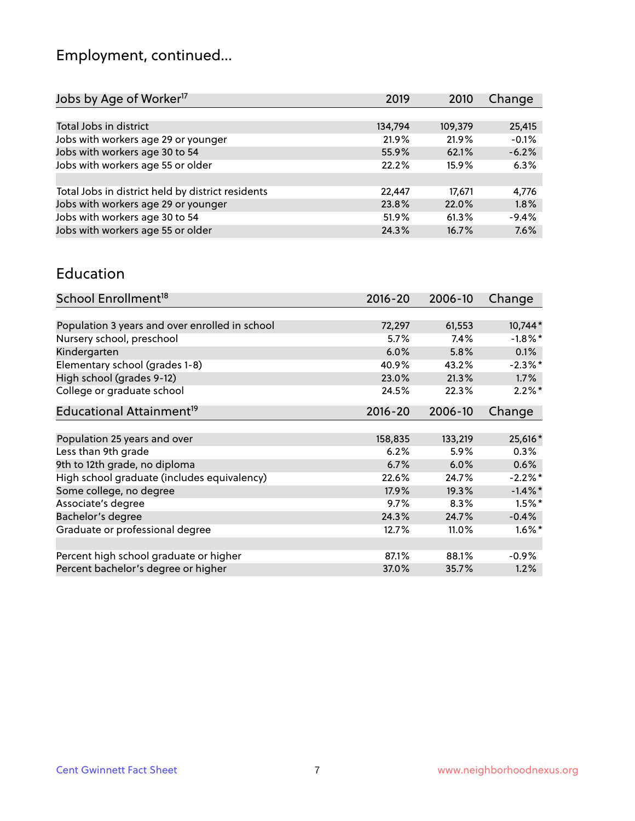# Employment, continued...

| Change  |
|---------|
|         |
| 25,415  |
| $-0.1%$ |
| $-6.2%$ |
| 6.3%    |
|         |
| 4,776   |
| 1.8%    |
| $-9.4%$ |
| 7.6%    |
|         |

#### Education

| School Enrollment <sup>18</sup>                | $2016 - 20$ | 2006-10 | Change               |
|------------------------------------------------|-------------|---------|----------------------|
|                                                |             |         |                      |
| Population 3 years and over enrolled in school | 72,297      | 61,553  | 10,744*              |
| Nursery school, preschool                      | 5.7%        | 7.4%    | $-1.8\%$ *           |
| Kindergarten                                   | 6.0%        | 5.8%    | 0.1%                 |
| Elementary school (grades 1-8)                 | 40.9%       | 43.2%   | $-2.3\%$ *           |
| High school (grades 9-12)                      | 23.0%       | 21.3%   | 1.7%                 |
| College or graduate school                     | 24.5%       | 22.3%   | $2.2\%$ *            |
| Educational Attainment <sup>19</sup>           | $2016 - 20$ | 2006-10 | Change               |
|                                                |             |         |                      |
| Population 25 years and over                   | 158,835     | 133,219 | 25,616*              |
| Less than 9th grade                            | 6.2%        | 5.9%    | 0.3%                 |
| 9th to 12th grade, no diploma                  | 6.7%        | 6.0%    | 0.6%                 |
| High school graduate (includes equivalency)    | 22.6%       | 24.7%   | $-2.2\%$ *           |
| Some college, no degree                        | 17.9%       | 19.3%   | $-1.4\%$ *           |
| Associate's degree                             | 9.7%        | 8.3%    | $1.5%$ *             |
| Bachelor's degree                              | 24.3%       | 24.7%   | $-0.4%$              |
| Graduate or professional degree                | 12.7%       | 11.0%   | $1.6\%$ <sup>*</sup> |
|                                                |             |         |                      |
| Percent high school graduate or higher         | 87.1%       | 88.1%   | $-0.9%$              |
| Percent bachelor's degree or higher            | 37.0%       | 35.7%   | 1.2%                 |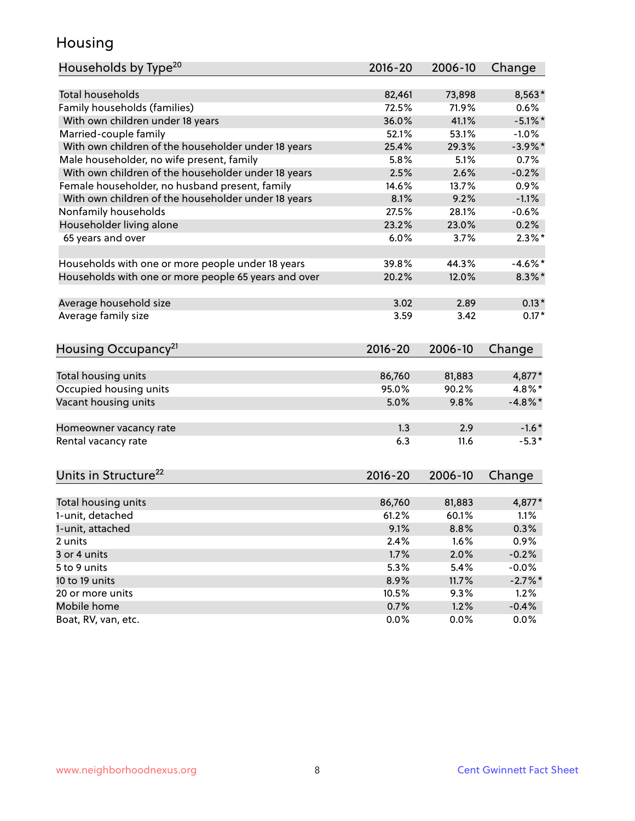#### Housing

| Households by Type <sup>20</sup>                     | 2016-20 | 2006-10 | Change     |
|------------------------------------------------------|---------|---------|------------|
|                                                      |         |         |            |
| <b>Total households</b>                              | 82,461  | 73,898  | 8,563*     |
| Family households (families)                         | 72.5%   | 71.9%   | 0.6%       |
| With own children under 18 years                     | 36.0%   | 41.1%   | $-5.1\%$ * |
| Married-couple family                                | 52.1%   | 53.1%   | $-1.0%$    |
| With own children of the householder under 18 years  | 25.4%   | 29.3%   | $-3.9\%$ * |
| Male householder, no wife present, family            | 5.8%    | 5.1%    | 0.7%       |
| With own children of the householder under 18 years  | 2.5%    | 2.6%    | $-0.2%$    |
| Female householder, no husband present, family       | 14.6%   | 13.7%   | 0.9%       |
| With own children of the householder under 18 years  | 8.1%    | 9.2%    | $-1.1%$    |
| Nonfamily households                                 | 27.5%   | 28.1%   | $-0.6%$    |
| Householder living alone                             | 23.2%   | 23.0%   | 0.2%       |
| 65 years and over                                    | 6.0%    | 3.7%    | $2.3\%$ *  |
|                                                      |         |         |            |
| Households with one or more people under 18 years    | 39.8%   | 44.3%   | $-4.6\%$ * |
| Households with one or more people 65 years and over | 20.2%   | 12.0%   | $8.3\%$ *  |
| Average household size                               | 3.02    | 2.89    | $0.13*$    |
| Average family size                                  | 3.59    | 3.42    | $0.17*$    |
| Housing Occupancy <sup>21</sup>                      | 2016-20 | 2006-10 | Change     |
|                                                      |         |         |            |
| Total housing units                                  | 86,760  | 81,883  | 4,877*     |
| Occupied housing units                               | 95.0%   | 90.2%   | 4.8%*      |
| Vacant housing units                                 | 5.0%    | 9.8%    | $-4.8\%$ * |
| Homeowner vacancy rate                               | 1.3     | 2.9     | $-1.6*$    |
| Rental vacancy rate                                  | 6.3     | 11.6    | $-5.3*$    |
| Units in Structure <sup>22</sup>                     |         | 2006-10 |            |
|                                                      | 2016-20 |         | Change     |
| Total housing units                                  | 86,760  | 81,883  | 4,877*     |
| 1-unit, detached                                     | 61.2%   | 60.1%   | 1.1%       |
| 1-unit, attached                                     | 9.1%    | 8.8%    | 0.3%       |
| 2 units                                              | 2.4%    | 1.6%    | 0.9%       |
| 3 or 4 units                                         | 1.7%    | 2.0%    | $-0.2%$    |
| 5 to 9 units                                         | 5.3%    | 5.4%    | $-0.0%$    |
| 10 to 19 units                                       | 8.9%    | 11.7%   | $-2.7\%$ * |
| 20 or more units                                     | 10.5%   | 9.3%    | 1.2%       |
| Mobile home                                          | 0.7%    | 1.2%    | $-0.4%$    |
| Boat, RV, van, etc.                                  | 0.0%    | 0.0%    | 0.0%       |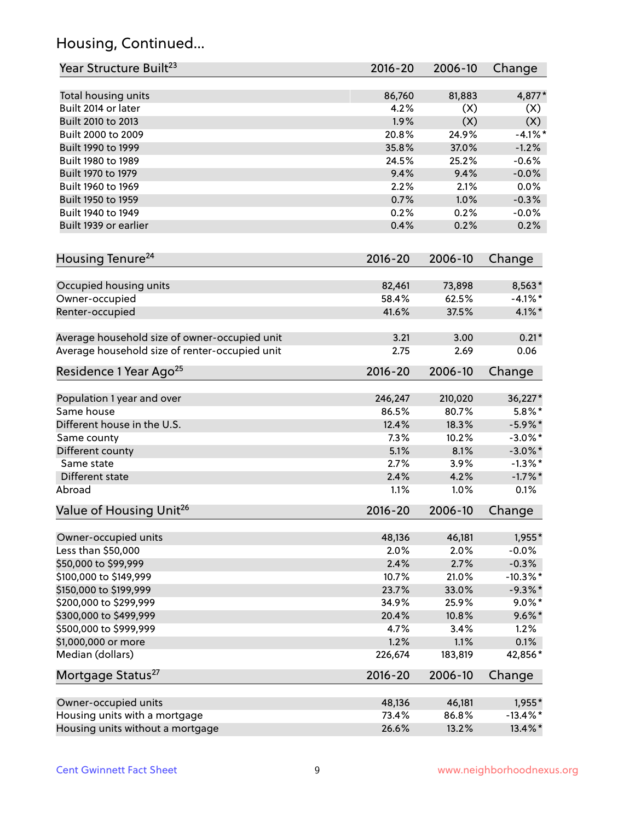# Housing, Continued...

| Year Structure Built <sup>23</sup>             | 2016-20     | 2006-10 | Change      |
|------------------------------------------------|-------------|---------|-------------|
| Total housing units                            | 86,760      | 81,883  | 4,877*      |
| Built 2014 or later                            | 4.2%        | (X)     | (X)         |
| Built 2010 to 2013                             | 1.9%        | (X)     | (X)         |
| Built 2000 to 2009                             | 20.8%       | 24.9%   | $-4.1%$ *   |
| Built 1990 to 1999                             | 35.8%       | 37.0%   | $-1.2%$     |
| Built 1980 to 1989                             | 24.5%       | 25.2%   | $-0.6%$     |
| Built 1970 to 1979                             | 9.4%        | 9.4%    | $-0.0%$     |
| Built 1960 to 1969                             | 2.2%        | 2.1%    | 0.0%        |
| Built 1950 to 1959                             | 0.7%        | 1.0%    | $-0.3%$     |
| Built 1940 to 1949                             | 0.2%        | 0.2%    | $-0.0%$     |
| Built 1939 or earlier                          | 0.4%        | 0.2%    | 0.2%        |
|                                                |             |         |             |
| Housing Tenure <sup>24</sup>                   | $2016 - 20$ | 2006-10 | Change      |
| Occupied housing units                         | 82,461      | 73,898  | 8,563*      |
| Owner-occupied                                 | 58.4%       | 62.5%   | $-4.1\%$ *  |
| Renter-occupied                                | 41.6%       | 37.5%   | $4.1\%$ *   |
| Average household size of owner-occupied unit  | 3.21        | 3.00    | $0.21*$     |
| Average household size of renter-occupied unit | 2.75        | 2.69    | 0.06        |
| Residence 1 Year Ago <sup>25</sup>             | 2016-20     | 2006-10 | Change      |
| Population 1 year and over                     | 246,247     | 210,020 | 36,227*     |
| Same house                                     | 86.5%       | 80.7%   | $5.8\%$ *   |
| Different house in the U.S.                    | 12.4%       | 18.3%   | $-5.9\%$ *  |
|                                                | 7.3%        | 10.2%   | $-3.0\%$ *  |
| Same county                                    | 5.1%        | 8.1%    | $-3.0\%$ *  |
| Different county<br>Same state                 | 2.7%        | 3.9%    | $-1.3\%$ *  |
|                                                |             |         |             |
| Different state                                | 2.4%        | 4.2%    | $-1.7%$ *   |
| Abroad                                         | 1.1%        | 1.0%    | 0.1%        |
| Value of Housing Unit <sup>26</sup>            | $2016 - 20$ | 2006-10 | Change      |
| Owner-occupied units                           | 48,136      | 46,181  | 1,955*      |
| Less than \$50,000                             | 2.0%        | 2.0%    | $-0.0%$     |
| \$50,000 to \$99,999                           | 2.4%        | 2.7%    | $-0.3%$     |
| \$100,000 to \$149,999                         | 10.7%       | 21.0%   | $-10.3\%$ * |
| \$150,000 to \$199,999                         | 23.7%       | 33.0%   | $-9.3\%$ *  |
| \$200,000 to \$299,999                         | 34.9%       | 25.9%   | $9.0\%$ *   |
| \$300,000 to \$499,999                         | 20.4%       | 10.8%   | $9.6\%*$    |
| \$500,000 to \$999,999                         | 4.7%        | 3.4%    | 1.2%        |
| \$1,000,000 or more                            | 1.2%        | 1.1%    | 0.1%        |
| Median (dollars)                               | 226,674     | 183,819 | 42,856*     |
| Mortgage Status <sup>27</sup>                  | 2016-20     | 2006-10 | Change      |
| Owner-occupied units                           | 48,136      | 46,181  | $1,955*$    |
| Housing units with a mortgage                  | 73.4%       | 86.8%   | $-13.4\%$ * |
| Housing units without a mortgage               | 26.6%       | 13.2%   | 13.4%*      |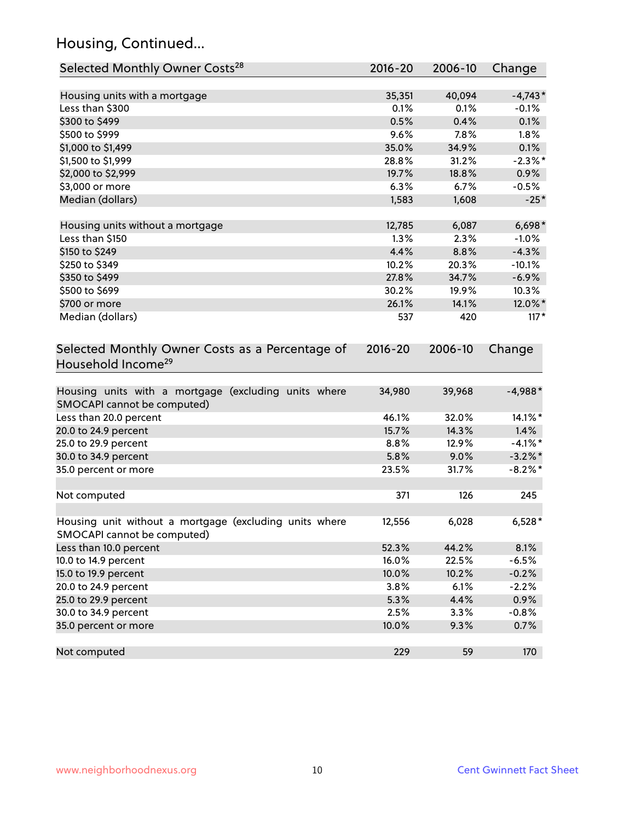# Housing, Continued...

| Selected Monthly Owner Costs <sup>28</sup>                                            | $2016 - 20$ | 2006-10 | Change     |
|---------------------------------------------------------------------------------------|-------------|---------|------------|
| Housing units with a mortgage                                                         | 35,351      | 40,094  | $-4,743*$  |
| Less than \$300                                                                       | 0.1%        | 0.1%    | $-0.1%$    |
| \$300 to \$499                                                                        | 0.5%        | 0.4%    | 0.1%       |
| \$500 to \$999                                                                        | 9.6%        | 7.8%    | 1.8%       |
| \$1,000 to \$1,499                                                                    | 35.0%       | 34.9%   | 0.1%       |
| \$1,500 to \$1,999                                                                    | 28.8%       | 31.2%   | $-2.3%$ *  |
| \$2,000 to \$2,999                                                                    | 19.7%       | 18.8%   | 0.9%       |
| \$3,000 or more                                                                       | 6.3%        | 6.7%    | $-0.5%$    |
| Median (dollars)                                                                      | 1,583       | 1,608   | $-25*$     |
| Housing units without a mortgage                                                      | 12,785      | 6,087   | $6,698*$   |
| Less than \$150                                                                       | 1.3%        | 2.3%    | $-1.0%$    |
| \$150 to \$249                                                                        | 4.4%        | 8.8%    | $-4.3%$    |
| \$250 to \$349                                                                        | 10.2%       | 20.3%   | $-10.1%$   |
| \$350 to \$499                                                                        | 27.8%       | 34.7%   | $-6.9%$    |
| \$500 to \$699                                                                        | 30.2%       | 19.9%   | 10.3%      |
| \$700 or more                                                                         | 26.1%       | 14.1%   | 12.0%*     |
| Median (dollars)                                                                      | 537         | 420     | $117*$     |
| Selected Monthly Owner Costs as a Percentage of<br>Household Income <sup>29</sup>     | $2016 - 20$ | 2006-10 | Change     |
| Housing units with a mortgage (excluding units where<br>SMOCAPI cannot be computed)   | 34,980      | 39,968  | $-4,988*$  |
| Less than 20.0 percent                                                                | 46.1%       | 32.0%   | 14.1%*     |
| 20.0 to 24.9 percent                                                                  | 15.7%       | 14.3%   | 1.4%       |
| 25.0 to 29.9 percent                                                                  | 8.8%        | 12.9%   | $-4.1\%$ * |
| 30.0 to 34.9 percent                                                                  | 5.8%        | 9.0%    | $-3.2\%$ * |
| 35.0 percent or more                                                                  | 23.5%       | 31.7%   | $-8.2\%$ * |
| Not computed                                                                          | 371         | 126     | 245        |
| Housing unit without a mortgage (excluding units where<br>SMOCAPI cannot be computed) | 12,556      | 6,028   | $6,528*$   |
| Less than 10.0 percent                                                                | 52.3%       | 44.2%   | 8.1%       |
| 10.0 to 14.9 percent                                                                  | 16.0%       | 22.5%   | $-6.5%$    |
| 15.0 to 19.9 percent                                                                  | 10.0%       | 10.2%   | $-0.2%$    |
| 20.0 to 24.9 percent                                                                  | 3.8%        | 6.1%    | $-2.2%$    |
| 25.0 to 29.9 percent                                                                  | 5.3%        | 4.4%    | 0.9%       |
| 30.0 to 34.9 percent                                                                  | 2.5%        | 3.3%    | $-0.8%$    |
| 35.0 percent or more                                                                  | 10.0%       | 9.3%    | 0.7%       |
| Not computed                                                                          | 229         | 59      | 170        |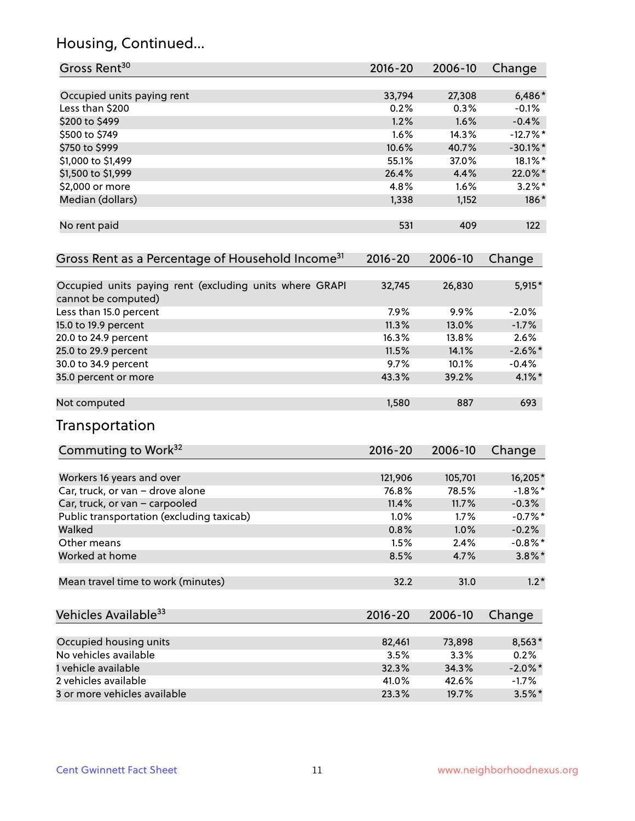# Housing, Continued...

| Gross Rent <sup>30</sup>                                                       | 2016-20     | 2006-10 | Change      |
|--------------------------------------------------------------------------------|-------------|---------|-------------|
| Occupied units paying rent                                                     | 33,794      | 27,308  | $6,486*$    |
| Less than \$200                                                                | 0.2%        | 0.3%    | $-0.1%$     |
| \$200 to \$499                                                                 | 1.2%        | 1.6%    | $-0.4%$     |
| \$500 to \$749                                                                 | 1.6%        | 14.3%   | $-12.7%$ *  |
| \$750 to \$999                                                                 | 10.6%       | 40.7%   | $-30.1\%$ * |
| \$1,000 to \$1,499                                                             | 55.1%       | 37.0%   | 18.1%*      |
| \$1,500 to \$1,999                                                             | 26.4%       | 4.4%    | 22.0%*      |
| \$2,000 or more                                                                | 4.8%        | 1.6%    | $3.2\%$ *   |
| Median (dollars)                                                               | 1,338       | 1,152   | 186*        |
| No rent paid                                                                   | 531         | 409     | 122         |
| Gross Rent as a Percentage of Household Income <sup>31</sup>                   | $2016 - 20$ | 2006-10 | Change      |
| Occupied units paying rent (excluding units where GRAPI<br>cannot be computed) | 32,745      | 26,830  | $5,915*$    |
| Less than 15.0 percent                                                         | 7.9%        | 9.9%    | $-2.0%$     |
| 15.0 to 19.9 percent                                                           | 11.3%       | 13.0%   | $-1.7%$     |
| 20.0 to 24.9 percent                                                           | 16.3%       | 13.8%   | 2.6%        |
| 25.0 to 29.9 percent                                                           | 11.5%       | 14.1%   | $-2.6\%$ *  |
| 30.0 to 34.9 percent                                                           | 9.7%        | 10.1%   | $-0.4%$     |
| 35.0 percent or more                                                           | 43.3%       | 39.2%   | $4.1\%$ *   |
| Not computed                                                                   | 1,580       | 887     | 693         |
| Transportation                                                                 |             |         |             |
| Commuting to Work <sup>32</sup>                                                | 2016-20     | 2006-10 | Change      |
| Workers 16 years and over                                                      | 121,906     | 105,701 | 16,205*     |
| Car, truck, or van - drove alone                                               | 76.8%       | 78.5%   | $-1.8\%$ *  |
| Car, truck, or van - carpooled                                                 | 11.4%       | 11.7%   | $-0.3%$     |
| Public transportation (excluding taxicab)                                      | 1.0%        | 1.7%    | $-0.7%$ *   |
| Walked                                                                         | 0.8%        | 1.0%    | $-0.2%$     |
| Other means                                                                    | 1.5%        | 2.4%    | $-0.8\%$ *  |
| Worked at home                                                                 | 8.5%        | 4.7%    | $3.8\%$ *   |
| Mean travel time to work (minutes)                                             | 32.2        | 31.0    | $1.2*$      |
| Vehicles Available <sup>33</sup>                                               | 2016-20     | 2006-10 | Change      |
| Occupied housing units                                                         | 82,461      | 73,898  | 8,563*      |
| No vehicles available                                                          | 3.5%        | 3.3%    | 0.2%        |
| 1 vehicle available                                                            | 32.3%       | 34.3%   | $-2.0\%$ *  |
| 2 vehicles available                                                           | 41.0%       | 42.6%   | $-1.7%$     |
| 3 or more vehicles available                                                   | 23.3%       | 19.7%   | $3.5\%$ *   |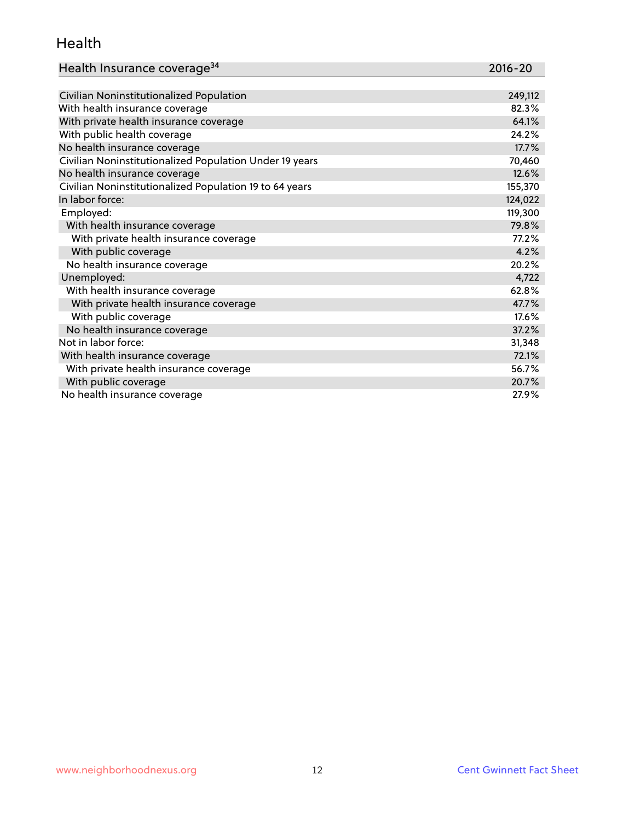#### Health

| Health Insurance coverage <sup>34</sup>                 | 2016-20 |
|---------------------------------------------------------|---------|
|                                                         |         |
| Civilian Noninstitutionalized Population                | 249,112 |
| With health insurance coverage                          | 82.3%   |
| With private health insurance coverage                  | 64.1%   |
| With public health coverage                             | 24.2%   |
| No health insurance coverage                            | 17.7%   |
| Civilian Noninstitutionalized Population Under 19 years | 70,460  |
| No health insurance coverage                            | 12.6%   |
| Civilian Noninstitutionalized Population 19 to 64 years | 155,370 |
| In labor force:                                         | 124,022 |
| Employed:                                               | 119,300 |
| With health insurance coverage                          | 79.8%   |
| With private health insurance coverage                  | 77.2%   |
| With public coverage                                    | 4.2%    |
| No health insurance coverage                            | 20.2%   |
| Unemployed:                                             | 4,722   |
| With health insurance coverage                          | 62.8%   |
| With private health insurance coverage                  | 47.7%   |
| With public coverage                                    | 17.6%   |
| No health insurance coverage                            | 37.2%   |
| Not in labor force:                                     | 31,348  |
| With health insurance coverage                          | 72.1%   |
| With private health insurance coverage                  | 56.7%   |
| With public coverage                                    | 20.7%   |
| No health insurance coverage                            | 27.9%   |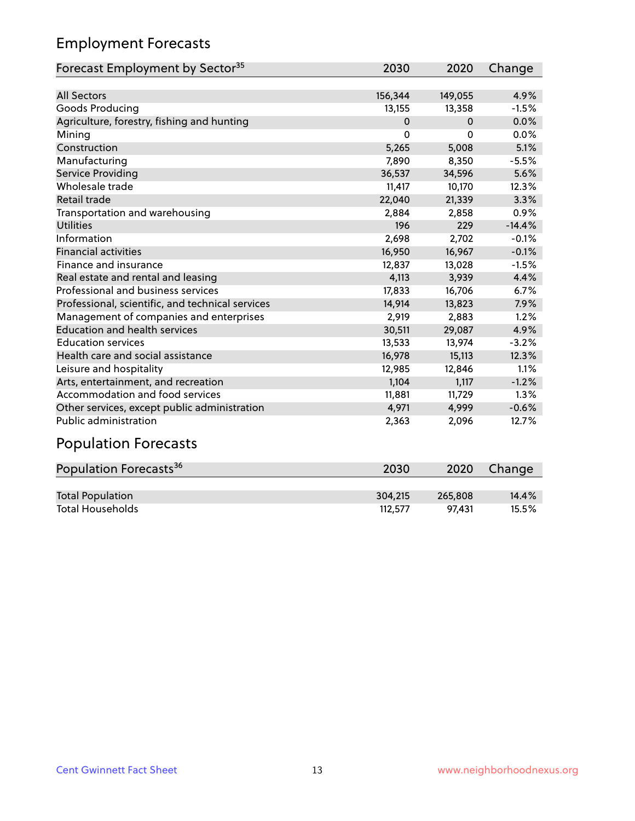# Employment Forecasts

| Forecast Employment by Sector <sup>35</sup>      | 2030     | 2020     | Change   |
|--------------------------------------------------|----------|----------|----------|
|                                                  |          |          |          |
| <b>All Sectors</b>                               | 156,344  | 149,055  | 4.9%     |
| Goods Producing                                  | 13,155   | 13,358   | $-1.5%$  |
| Agriculture, forestry, fishing and hunting       | $\Omega$ | $\Omega$ | 0.0%     |
| Mining                                           | $\Omega$ | 0        | 0.0%     |
| Construction                                     | 5,265    | 5,008    | 5.1%     |
| Manufacturing                                    | 7.890    | 8.350    | $-5.5%$  |
| <b>Service Providing</b>                         | 36,537   | 34,596   | 5.6%     |
| Wholesale trade                                  | 11,417   | 10,170   | 12.3%    |
| Retail trade                                     | 22,040   | 21,339   | 3.3%     |
| Transportation and warehousing                   | 2,884    | 2,858    | 0.9%     |
| <b>Utilities</b>                                 | 196      | 229      | $-14.4%$ |
| Information                                      | 2,698    | 2,702    | $-0.1%$  |
| <b>Financial activities</b>                      | 16,950   | 16,967   | $-0.1%$  |
| Finance and insurance                            | 12,837   | 13,028   | $-1.5%$  |
| Real estate and rental and leasing               | 4,113    | 3,939    | 4.4%     |
| Professional and business services               | 17,833   | 16,706   | 6.7%     |
| Professional, scientific, and technical services | 14,914   | 13,823   | 7.9%     |
| Management of companies and enterprises          | 2,919    | 2,883    | 1.2%     |
| <b>Education and health services</b>             | 30,511   | 29,087   | 4.9%     |
| <b>Education services</b>                        | 13,533   | 13,974   | $-3.2%$  |
| Health care and social assistance                | 16,978   | 15,113   | 12.3%    |
| Leisure and hospitality                          | 12,985   | 12,846   | 1.1%     |
| Arts, entertainment, and recreation              | 1,104    | 1,117    | $-1.2%$  |
| Accommodation and food services                  | 11,881   | 11,729   | 1.3%     |
| Other services, except public administration     | 4,971    | 4,999    | $-0.6%$  |
| Public administration                            | 2,363    | 2,096    | 12.7%    |

#### Population Forecasts

| Population Forecasts <sup>36</sup> | 2030    | 2020    | <b>Change</b> |
|------------------------------------|---------|---------|---------------|
|                                    |         |         |               |
| <b>Total Population</b>            | 304,215 | 265.808 | 14.4%         |
| <b>Total Households</b>            | 112.577 | 97.431  | $15.5\%$      |